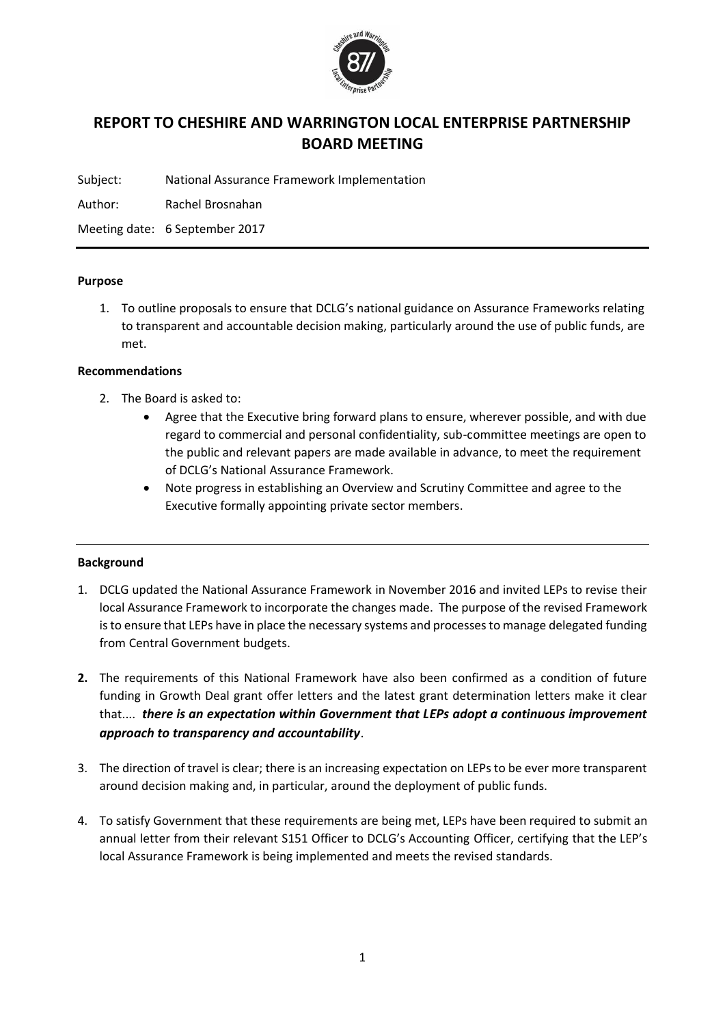

# **REPORT TO CHESHIRE AND WARRINGTON LOCAL ENTERPRISE PARTNERSHIP BOARD MEETING**

Subject: National Assurance Framework Implementation

Author: Rachel Brosnahan

Meeting date: 6 September 2017

### **Purpose**

1. To outline proposals to ensure that DCLG's national guidance on Assurance Frameworks relating to transparent and accountable decision making, particularly around the use of public funds, are met.

### **Recommendations**

- 2. The Board is asked to:
	- Agree that the Executive bring forward plans to ensure, wherever possible, and with due regard to commercial and personal confidentiality, sub-committee meetings are open to the public and relevant papers are made available in advance, to meet the requirement of DCLG's National Assurance Framework.
	- Note progress in establishing an Overview and Scrutiny Committee and agree to the Executive formally appointing private sector members.

### **Background**

- 1. DCLG updated the National Assurance Framework in November 2016 and invited LEPs to revise their local Assurance Framework to incorporate the changes made. The purpose of the revised Framework is to ensure that LEPs have in place the necessary systems and processes to manage delegated funding from Central Government budgets.
- **2.** The requirements of this National Framework have also been confirmed as a condition of future funding in Growth Deal grant offer letters and the latest grant determination letters make it clear that.... *there is an expectation within Government that LEPs adopt a continuous improvement approach to transparency and accountability*.
- 3. The direction of travel is clear; there is an increasing expectation on LEPs to be ever more transparent around decision making and, in particular, around the deployment of public funds.
- 4. To satisfy Government that these requirements are being met, LEPs have been required to submit an annual letter from their relevant S151 Officer to DCLG's Accounting Officer, certifying that the LEP's local Assurance Framework is being implemented and meets the revised standards.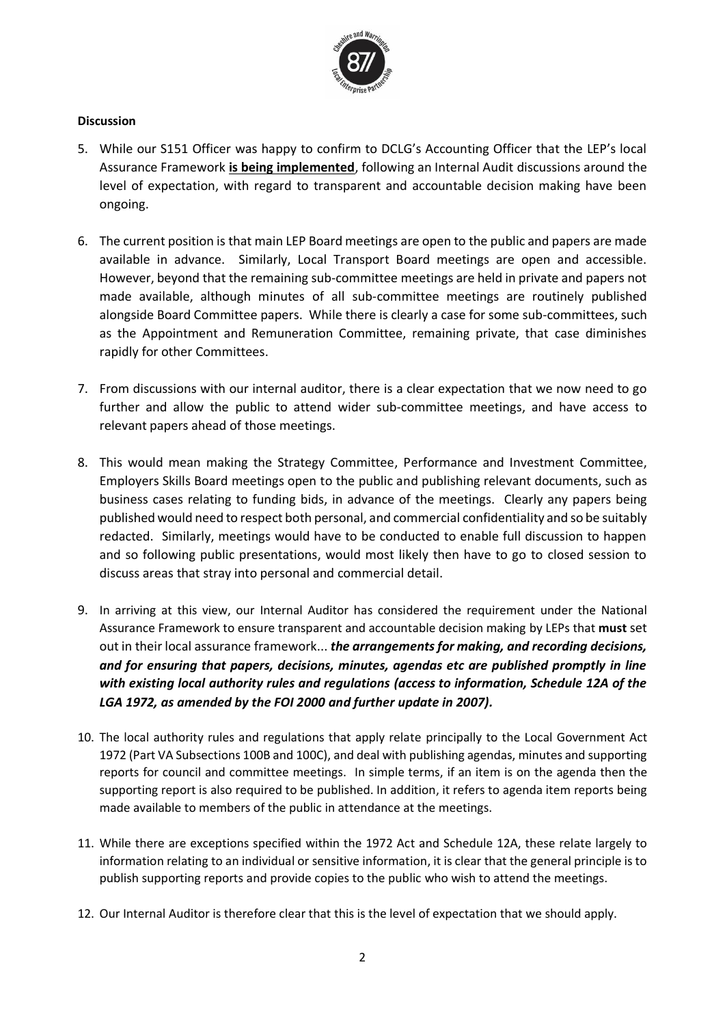

## **Discussion**

- 5. While our S151 Officer was happy to confirm to DCLG's Accounting Officer that the LEP's local Assurance Framework **is being implemented**, following an Internal Audit discussions around the level of expectation, with regard to transparent and accountable decision making have been ongoing.
- 6. The current position is that main LEP Board meetings are open to the public and papers are made available in advance. Similarly, Local Transport Board meetings are open and accessible. However, beyond that the remaining sub-committee meetings are held in private and papers not made available, although minutes of all sub-committee meetings are routinely published alongside Board Committee papers. While there is clearly a case for some sub-committees, such as the Appointment and Remuneration Committee, remaining private, that case diminishes rapidly for other Committees.
- 7. From discussions with our internal auditor, there is a clear expectation that we now need to go further and allow the public to attend wider sub-committee meetings, and have access to relevant papers ahead of those meetings.
- 8. This would mean making the Strategy Committee, Performance and Investment Committee, Employers Skills Board meetings open to the public and publishing relevant documents, such as business cases relating to funding bids, in advance of the meetings. Clearly any papers being published would need to respect both personal, and commercial confidentiality and so be suitably redacted. Similarly, meetings would have to be conducted to enable full discussion to happen and so following public presentations, would most likely then have to go to closed session to discuss areas that stray into personal and commercial detail.
- 9. In arriving at this view, our Internal Auditor has considered the requirement under the National Assurance Framework to ensure transparent and accountable decision making by LEPs that **must** set out in their local assurance framework... *the arrangements for making, and recording decisions, and for ensuring that papers, decisions, minutes, agendas etc are published promptly in line with existing local authority rules and regulations (access to information, Schedule 12A of the LGA 1972, as amended by the FOI 2000 and further update in 2007).*
- 10. The local authority rules and regulations that apply relate principally to the Local Government Act 1972 (Part VA Subsections 100B and 100C), and deal with publishing agendas, minutes and supporting reports for council and committee meetings. In simple terms, if an item is on the agenda then the supporting report is also required to be published. In addition, it refers to agenda item reports being made available to members of the public in attendance at the meetings.
- 11. While there are exceptions specified within the 1972 Act and Schedule 12A, these relate largely to information relating to an individual or sensitive information, it is clear that the general principle is to publish supporting reports and provide copies to the public who wish to attend the meetings.
- 12. Our Internal Auditor is therefore clear that this is the level of expectation that we should apply.